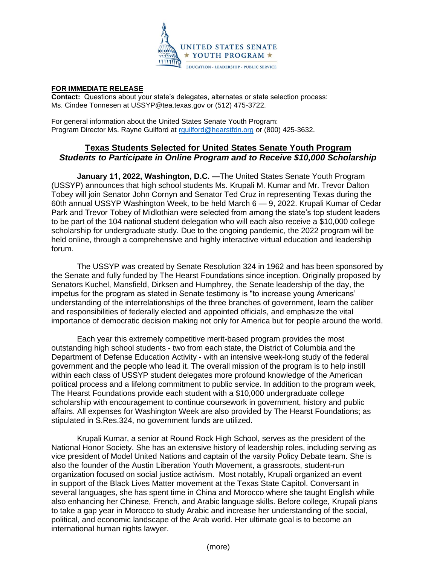

## **FOR IMMEDIATE RELEASE**

**Contact:** Questions about your state's delegates, alternates or state selection process: Ms. Cindee Tonnesen at USSYP@tea.texas.gov or (512) 475-3722.

For general information about the United States Senate Youth Program: Program Director Ms. Rayne Guilford at [rguilford@hearstfdn.org](mailto:rguilford@hearstfdn.org) or (800) 425-3632.

## **Texas Students Selected for United States Senate Youth Program** *Students to Participate in Online Program and to Receive \$10,000 Scholarship*

**January 11, 2022, Washington, D.C. —**The United States Senate Youth Program (USSYP) announces that high school students Ms. Krupali M. Kumar and Mr. Trevor Dalton Tobey will join Senator John Cornyn and Senator Ted Cruz in representing Texas during the 60th annual USSYP Washington Week, to be held March 6 — 9, 2022. Krupali Kumar of Cedar Park and Trevor Tobey of Midlothian were selected from among the state's top student leaders to be part of the 104 national student delegation who will each also receive a \$10,000 college scholarship for undergraduate study. Due to the ongoing pandemic, the 2022 program will be held online, through a comprehensive and highly interactive virtual education and leadership forum.

The USSYP was created by Senate Resolution 324 in 1962 and has been sponsored by the Senate and fully funded by The Hearst Foundations since inception. Originally proposed by Senators Kuchel, Mansfield, Dirksen and Humphrey, the Senate leadership of the day, the impetus for the program as stated in Senate testimony is "to increase young Americans' understanding of the interrelationships of the three branches of government, learn the caliber and responsibilities of federally elected and appointed officials, and emphasize the vital importance of democratic decision making not only for America but for people around the world.

Each year this extremely competitive merit-based program provides the most outstanding high school students - two from each state, the District of Columbia and the Department of Defense Education Activity - with an intensive week-long study of the federal government and the people who lead it. The overall mission of the program is to help instill within each class of USSYP student delegates more profound knowledge of the American political process and a lifelong commitment to public service. In addition to the program week, The Hearst Foundations provide each student with a \$10,000 undergraduate college scholarship with encouragement to continue coursework in government, history and public affairs. All expenses for Washington Week are also provided by The Hearst Foundations; as stipulated in S.Res.324, no government funds are utilized.

Krupali Kumar, a senior at Round Rock High School, serves as the president of the National Honor Society. She has an extensive history of leadership roles, including serving as vice president of Model United Nations and captain of the varsity Policy Debate team. She is also the founder of the Austin Liberation Youth Movement, a grassroots, student-run organization focused on social justice activism. Most notably, Krupali organized an event in support of the Black Lives Matter movement at the Texas State Capitol. Conversant in several languages, she has spent time in China and Morocco where she taught English while also enhancing her Chinese, French, and Arabic language skills. Before college, Krupali plans to take a gap year in Morocco to study Arabic and increase her understanding of the social, political, and economic landscape of the Arab world. Her ultimate goal is to become an international human rights lawyer.